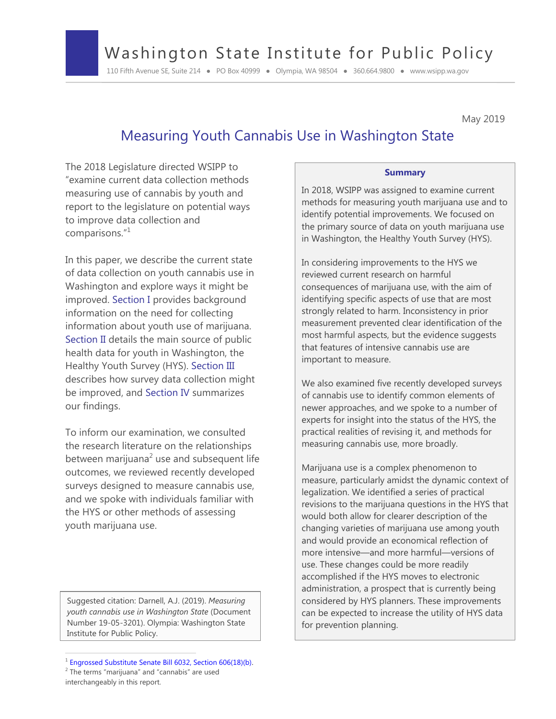# Washington State Institute for Public Policy

110 Fifth Avenue SE, Suite 214 ● PO Box 40999 ● Olympia, WA 98504 ● 360.664.9800 ● www.wsipp.wa.gov

May 2019

# Measuring Youth Cannabis Use in Washington State

The 2018 Legislature directed WSIPP to "examine current data collection methods measuring use of cannabis by youth and report to the legislature on potential ways to improve data collection and comparisons."<sup>1</sup>

In this paper, we describe the current state of data collection on youth cannabis use in Washington and explore ways it might be improved. Section I provides background information on the need for collecting information about youth use of marijuana. Section II details the main source of public health data for youth in Washington, the Healthy Youth Survey (HYS). Section III describes how survey data collection might be improved, and Section IV summarizes our findings.

To inform our examination, we consulted the research literature on the relationships between marijuana<sup>2</sup> use and subsequent life outcomes, we reviewed recently developed surveys designed to measure cannabis use, and we spoke with individuals familiar with the HYS or other methods of assessing youth marijuana use.

Suggested citation: Darnell, A.J. (2019). *Measuring youth cannabis use in Washington State* (Document Number 19-05-3201). Olympia: Washington State Institute for Public Policy.

#### **Summary**

In 2018, WSIPP was assigned to examine current methods for measuring youth marijuana use and to identify potential improvements. We focused on the primary source of data on youth marijuana use in Washington, the Healthy Youth Survey (HYS).

In considering improvements to the HYS we reviewed current research on harmful consequences of marijuana use, with the aim of identifying specific aspects of use that are most strongly related to harm. Inconsistency in prior measurement prevented clear identification of the most harmful aspects, but the evidence suggests that features of intensive cannabis use are important to measure.

We also examined five recently developed surveys of cannabis use to identify common elements of newer approaches, and we spoke to a number of experts for insight into the status of the HYS, the practical realities of revising it, and methods for measuring cannabis use, more broadly.

Marijuana use is a complex phenomenon to measure, particularly amidst the dynamic context of legalization. We identified a series of practical revisions to the marijuana questions in the HYS that would both allow for clearer description of the changing varieties of marijuana use among youth and would provide an economical reflection of more intensive—and more harmful—versions of use. These changes could be more readily accomplished if the HYS moves to electronic administration, a prospect that is currently being considered by HYS planners. These improvements can be expected to increase the utility of HYS data for prevention planning.

 $1$  Engrossed Substitute Senate Bill 6032, Section 606(18)(b).

 $2$  The terms "marijuana" and "cannabis" are used interchangeably in this report.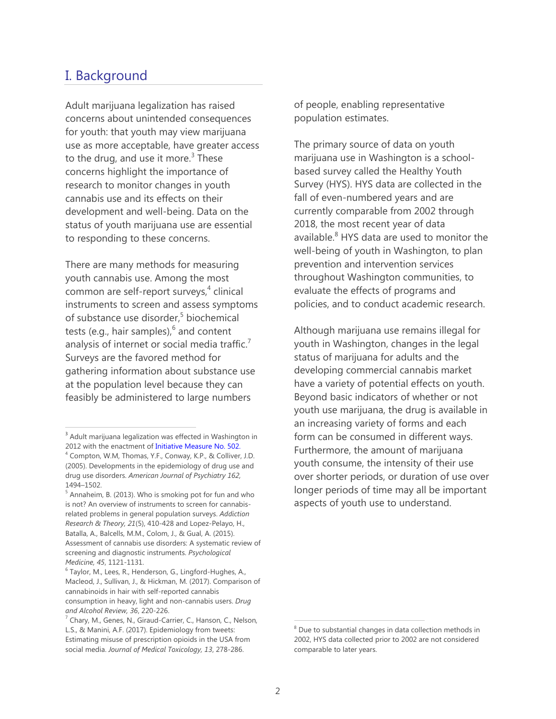# I. Background

Adult marijuana legalization has raised concerns about unintended consequences for youth: that youth may view marijuana use as more acceptable, have greater access to the drug, and use it more. $3$  These concerns highlight the importance of research to monitor changes in youth cannabis use and its effects on their development and well-being. Data on the status of youth marijuana use are essential to responding to these concerns.

There are many methods for measuring youth cannabis use. Among the most common are self-report surveys,<sup>4</sup> clinical instruments to screen and assess symptoms of substance use disorder,<sup>5</sup> biochemical tests (e.g., hair samples), $^6$  and content analysis of internet or social media traffic.<sup>7</sup> Surveys are the favored method for gathering information about substance use at the population level because they can feasibly be administered to large numbers

of people, enabling representative population estimates.

The primary source of data on youth marijuana use in Washington is a schoolbased survey called the Healthy Youth Survey (HYS). HYS data are collected in the fall of even-numbered years and are currently comparable from 2002 through 2018, the most recent year of data available.<sup>8</sup> HYS data are used to monitor the well-being of youth in Washington, to plan prevention and intervention services throughout Washington communities, to evaluate the effects of programs and policies, and to conduct academic research.

Although marijuana use remains illegal for youth in Washington, changes in the legal status of marijuana for adults and the developing commercial cannabis market have a variety of potential effects on youth. Beyond basic indicators of whether or not youth use marijuana, the drug is available in an increasing variety of forms and each form can be consumed in different ways. Furthermore, the amount of marijuana youth consume, the intensity of their use over shorter periods, or duration of use over longer periods of time may all be important aspects of youth use to understand.

<sup>&</sup>lt;sup>3</sup> Adult marijuana legalization was effected in Washington in 2012 with the enactment of [Initiative Measure No. 502.](http://apps.leg.wa.gov/documents/billdocs/2011-12/Pdf/Initiatives/Initiatives/INITIATIVE%20502.pdf)

<sup>&</sup>lt;sup>4</sup> Compton, W.M, Thomas, Y.F., Conway, K.P., & Colliver, J.D. (2005). Developments in the epidemiology of drug use and drug use disorders. *American Journal of Psychiatry 162,* 1494–1502.

 $<sup>5</sup>$  Annaheim, B. (2013). Who is smoking pot for fun and who</sup> is not? An overview of instruments to screen for cannabisrelated problems in general population surveys. *Addiction Research & Theory, 21*(5), 410-428 and Lopez-Pelayo, H., Batalla, A., Balcells, M.M., Colom, J., & Gual, A. (2015). Assessment of cannabis use disorders: A systematic review of screening and diagnostic instruments. *Psychological Medicine, 45*, 1121-1131.

<sup>&</sup>lt;sup>6</sup> Taylor, M., Lees, R., Henderson, G., Lingford-Hughes, A., Macleod, J., Sullivan, J., & Hickman, M. (2017). Comparison of cannabinoids in hair with self-reported cannabis consumption in heavy, light and non-cannabis users. *Drug and Alcohol Review, 36*, 220-226.

<sup>&</sup>lt;sup>7</sup> Chary, M., Genes, N., Giraud-Carrier, C., Hanson, C., Nelson, L.S., & Manini, A.F. (2017). Epidemiology from tweets: Estimating misuse of prescription opioids in the USA from social media. *Journal of Medical Toxicology, 13*, 278-286.

<sup>&</sup>lt;sup>8</sup> Due to substantial changes in data collection methods in 2002, HYS data collected prior to 2002 are not considered comparable to later years.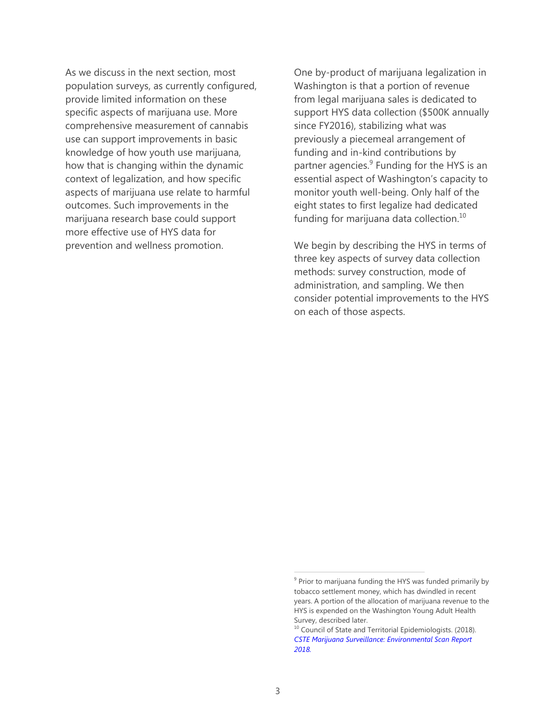As we discuss in the next section, most population surveys, as currently configured, provide limited information on these specific aspects of marijuana use. More comprehensive measurement of cannabis use can support improvements in basic knowledge of how youth use marijuana, how that is changing within the dynamic context of legalization, and how specific aspects of marijuana use relate to harmful outcomes. Such improvements in the marijuana research base could support more effective use of HYS data for prevention and wellness promotion.

One by-product of marijuana legalization in Washington is that a portion of revenue from legal marijuana sales is dedicated to support HYS data collection (\$500K annually since FY2016), stabilizing what was previously a piecemeal arrangement of funding and in-kind contributions by partner agencies.<sup>9</sup> Funding for the HYS is an essential aspect of Washington's capacity to monitor youth well-being. Only half of the eight states to first legalize had dedicated funding for marijuana data collection. $^{10}$ 

We begin by describing the HYS in terms of three key aspects of survey data collection methods: survey construction, mode of administration, and sampling. We then consider potential improvements to the HYS on each of those aspects.

<sup>&</sup>lt;sup>9</sup> Prior to marijuana funding the HYS was funded primarily by tobacco settlement money, which has dwindled in recent years. A portion of the allocation of marijuana revenue to the HYS is expended on the Washington Young Adult Health Survey, described later.

<sup>&</sup>lt;sup>10</sup> Council of State and Territorial Epidemiologists. (2018). *[CSTE Marijuana Surveillance: Environmental Scan Report](https://cdn.ymaws.com/www.cste.org/resource/resmgr/pdfs/pdfs2/Marijuana_Surv_Report_v2.pdf)  [2018.](https://cdn.ymaws.com/www.cste.org/resource/resmgr/pdfs/pdfs2/Marijuana_Surv_Report_v2.pdf)*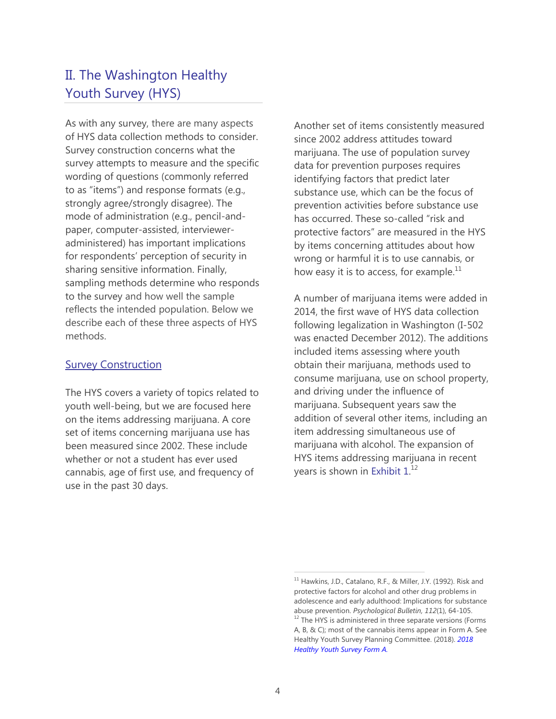# II. The Washington Healthy Youth Survey (HYS)

As with any survey, there are many aspects of HYS data collection methods to consider. Survey construction concerns what the survey attempts to measure and the specific wording of questions (commonly referred to as "items") and response formats (e.g., strongly agree/strongly disagree). The mode of administration (e.g., pencil-andpaper, computer-assisted, intervieweradministered) has important implications for respondents' perception of security in sharing sensitive information. Finally, sampling methods determine who responds to the survey and how well the sample reflects the intended population. Below we describe each of these three aspects of HYS methods.

### **Survey Construction**

The HYS covers a variety of topics related to youth well-being, but we are focused here on the items addressing marijuana. A core set of items concerning marijuana use has been measured since 2002. These include whether or not a student has ever used cannabis, age of first use, and frequency of use in the past 30 days.

Another set of items consistently measured since 2002 address attitudes toward marijuana. The use of population survey data for prevention purposes requires identifying factors that predict later substance use, which can be the focus of prevention activities before substance use has occurred. These so-called "risk and protective factors" are measured in the HYS by items concerning attitudes about how wrong or harmful it is to use cannabis, or how easy it is to access, for example. $^{11}$ 

A number of marijuana items were added in 2014, the first wave of HYS data collection following legalization in Washington (I-502 was enacted December 2012). The additions included items assessing where youth obtain their marijuana, methods used to consume marijuana, use on school property, and driving under the influence of marijuana. Subsequent years saw the addition of several other items, including an item addressing simultaneous use of marijuana with alcohol. The expansion of HYS items addressing marijuana in recent years is shown in Exhibit  $1.^{12}$ 

 $11$  Hawkins, J.D., Catalano, R.F., & Miller, J.Y. (1992). Risk and protective factors for alcohol and other drug problems in adolescence and early adulthood: Implications for substance abuse prevention. *Psychological Bulletin, 112*(1), 64-105.

 $12$  The HYS is administered in three separate versions (Forms A, B, & C); most of the cannabis items appear in Form A. See Healthy Youth Survey Planning Committee. (2018). *[2018](http://www.askhys.net/Docs/Surveys/HYS%202018%20Form%20A.pdf)  [Healthy Youth Survey Form A.](http://www.askhys.net/Docs/Surveys/HYS%202018%20Form%20A.pdf)*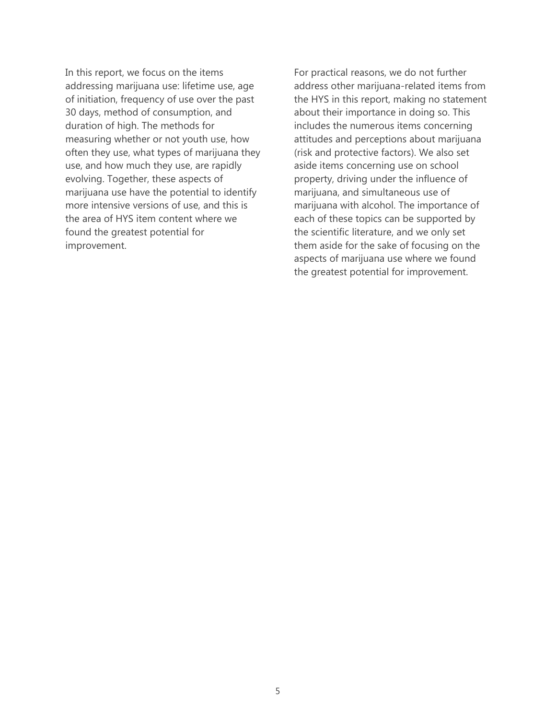In this report, we focus on the items addressing marijuana use: lifetime use, age of initiation, frequency of use over the past 30 days, method of consumption, and duration of high. The methods for measuring whether or not youth use, how often they use, what types of marijuana they use, and how much they use, are rapidly evolving. Together, these aspects of marijuana use have the potential to identify more intensive versions of use, and this is the area of HYS item content where we found the greatest potential for improvement.

For practical reasons, we do not further address other marijuana-related items from the HYS in this report, making no statement about their importance in doing so. This includes the numerous items concerning attitudes and perceptions about marijuana (risk and protective factors). We also set aside items concerning use on school property, driving under the influence of marijuana, and simultaneous use of marijuana with alcohol. The importance of each of these topics can be supported by the scientific literature, and we only set them aside for the sake of focusing on the aspects of marijuana use where we found the greatest potential for improvement.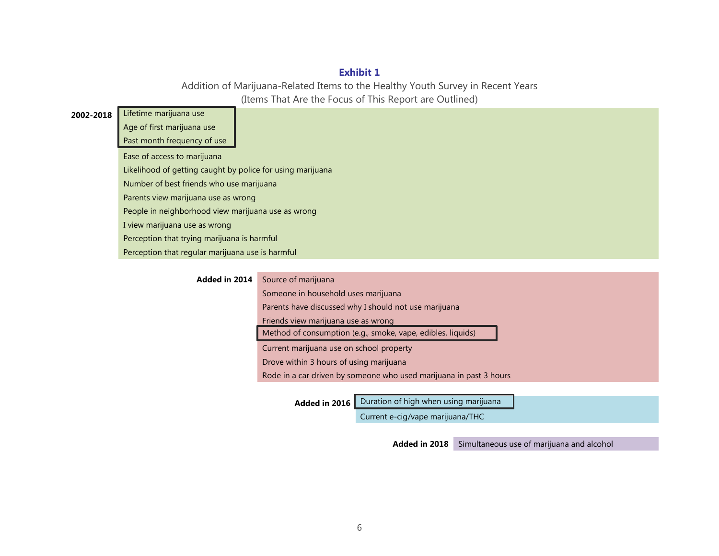## **Exhibit 1**

Addition of Marijuana-Related Items to the Healthy Youth Survey in Recent Years (Items That Are the Focus of This Report are Outlined)

| 2002-2018 | Lifetime marijuana use                                     |
|-----------|------------------------------------------------------------|
|           | Age of first marijuana use                                 |
|           | Past month frequency of use                                |
|           | Ease of access to marijuana                                |
|           | Likelihood of getting caught by police for using marijuana |
|           | Number of best friends who use marijuana                   |
|           | Parents view marijuana use as wrong                        |
|           | People in neighborhood view marijuana use as wrong         |
|           | I view marijuana use as wrong                              |
|           | Perception that trying marijuana is harmful                |
|           | Perception that regular marijuana use is harmful           |

| Added in 2014 | Source of marijuana                                                |  |  |
|---------------|--------------------------------------------------------------------|--|--|
|               | Someone in household uses marijuana                                |  |  |
|               | Parents have discussed why I should not use marijuana              |  |  |
|               | Friends view marijuana use as wrong                                |  |  |
|               | Method of consumption (e.g., smoke, vape, edibles, liquids)        |  |  |
|               | Current marijuana use on school property                           |  |  |
|               | Drove within 3 hours of using marijuana                            |  |  |
|               | Rode in a car driven by someone who used marijuana in past 3 hours |  |  |
|               |                                                                    |  |  |

Added in 2016 **Duration of high when using marijuana** 

Current e-cig/vape marijuana/THC

**Added in 2018** Simultaneous use of marijuana and alcohol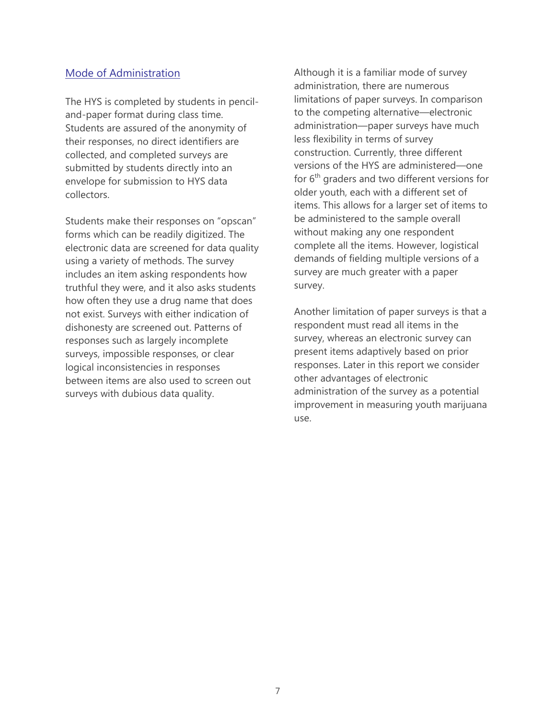## Mode of Administration

The HYS is completed by students in penciland-paper format during class time. Students are assured of the anonymity of their responses, no direct identifiers are collected, and completed surveys are submitted by students directly into an envelope for submission to HYS data collectors.

Students make their responses on "opscan" forms which can be readily digitized. The electronic data are screened for data quality using a variety of methods. The survey includes an item asking respondents how truthful they were, and it also asks students how often they use a drug name that does not exist. Surveys with either indication of dishonesty are screened out. Patterns of responses such as largely incomplete surveys, impossible responses, or clear logical inconsistencies in responses between items are also used to screen out surveys with dubious data quality.

Although it is a familiar mode of survey administration, there are numerous limitations of paper surveys. In comparison to the competing alternative—electronic administration—paper surveys have much less flexibility in terms of survey construction. Currently, three different versions of the HYS are administered—one for  $6<sup>th</sup>$  graders and two different versions for older youth, each with a different set of items. This allows for a larger set of items to be administered to the sample overall without making any one respondent complete all the items. However, logistical demands of fielding multiple versions of a survey are much greater with a paper survey.

Another limitation of paper surveys is that a respondent must read all items in the survey, whereas an electronic survey can present items adaptively based on prior responses. Later in this report we consider other advantages of electronic administration of the survey as a potential improvement in measuring youth marijuana use.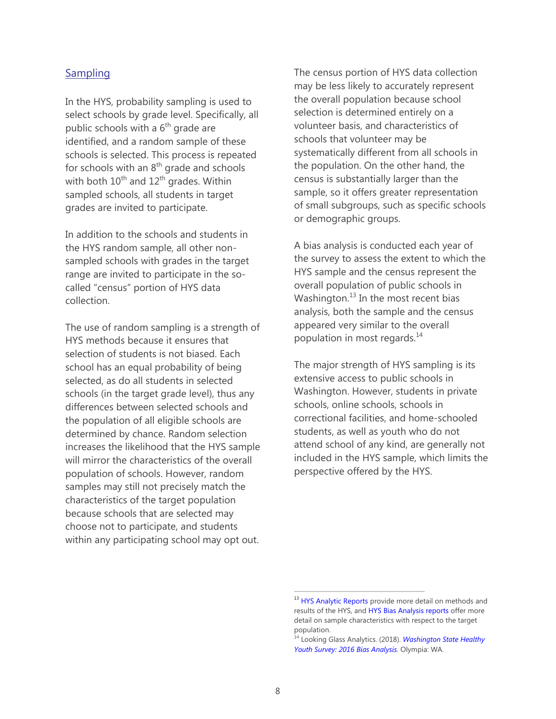### **Sampling**

In the HYS, probability sampling is used to select schools by grade level. Specifically, all public schools with a  $6<sup>th</sup>$  grade are identified, and a random sample of these schools is selected. This process is repeated for schools with an  $8<sup>th</sup>$  grade and schools with both  $10^{\text{th}}$  and  $12^{\text{th}}$  grades. Within sampled schools, all students in target grades are invited to participate.

In addition to the schools and students in the HYS random sample, all other nonsampled schools with grades in the target range are invited to participate in the socalled "census" portion of HYS data collection.

The use of random sampling is a strength of HYS methods because it ensures that selection of students is not biased. Each school has an equal probability of being selected, as do all students in selected schools (in the target grade level), thus any differences between selected schools and the population of all eligible schools are determined by chance. Random selection increases the likelihood that the HYS sample will mirror the characteristics of the overall population of schools. However, random samples may still not precisely match the characteristics of the target population because schools that are selected may choose not to participate, and students within any participating school may opt out.

The census portion of HYS data collection may be less likely to accurately represent the overall population because school selection is determined entirely on a volunteer basis, and characteristics of schools that volunteer may be systematically different from all schools in the population. On the other hand, the census is substantially larger than the sample, so it offers greater representation of small subgroups, such as specific schools or demographic groups.

A bias analysis is conducted each year of the survey to assess the extent to which the HYS sample and the census represent the overall population of public schools in Washington. $^{13}$  In the most recent bias analysis, both the sample and the census appeared very similar to the overall population in most regards.<sup>14</sup>

The major strength of HYS sampling is its extensive access to public schools in Washington. However, students in private schools, online schools, schools in correctional facilities, and home-schooled students, as well as youth who do not attend school of any kind, are generally not included in the HYS sample, which limits the perspective offered by the HYS.

<sup>&</sup>lt;sup>13</sup> [HYS Analytic Reports](http://www.askhys.net/Reports/Additional) provide more detail on methods and results of the HYS, and [HYS Bias Analysis reports](http://www.askhys.net/Reports/Additional) offer more detail on sample characteristics with respect to the target population.

<sup>14</sup> Looking Glass Analytics. (2018). *[Washington State Healthy](http://www.askhys.net/Docs/HYS%202016%20Bias%20Analysis%205-24-18.pdf)  [Youth Survey: 2016 Bias Analysis.](http://www.askhys.net/Docs/HYS%202016%20Bias%20Analysis%205-24-18.pdf)* Olympia: WA.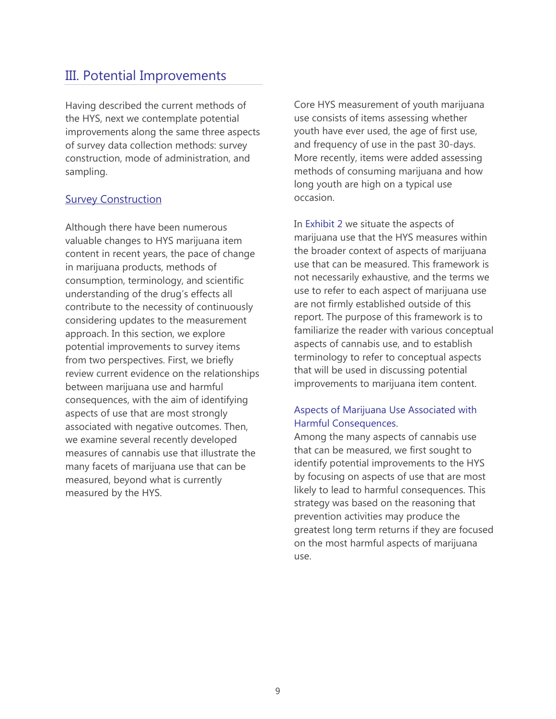# III. Potential Improvements

Having described the current methods of the HYS, next we contemplate potential improvements along the same three aspects of survey data collection methods: survey construction, mode of administration, and sampling.

### **Survey Construction**

Although there have been numerous valuable changes to HYS marijuana item content in recent years, the pace of change in marijuana products, methods of consumption, terminology, and scientific understanding of the drug's effects all contribute to the necessity of continuously considering updates to the measurement approach. In this section, we explore potential improvements to survey items from two perspectives. First, we briefly review current evidence on the relationships between marijuana use and harmful consequences, with the aim of identifying aspects of use that are most strongly associated with negative outcomes. Then, we examine several recently developed measures of cannabis use that illustrate the many facets of marijuana use that can be measured, beyond what is currently measured by the HYS.

Core HYS measurement of youth marijuana use consists of items assessing whether youth have ever used, the age of first use, and frequency of use in the past 30-days. More recently, items were added assessing methods of consuming marijuana and how long youth are high on a typical use occasion.

In Exhibit 2 we situate the aspects of marijuana use that the HYS measures within the broader context of aspects of marijuana use that can be measured. This framework is not necessarily exhaustive, and the terms we use to refer to each aspect of marijuana use are not firmly established outside of this report. The purpose of this framework is to familiarize the reader with various conceptual aspects of cannabis use, and to establish terminology to refer to conceptual aspects that will be used in discussing potential improvements to marijuana item content.

# Aspects of Marijuana Use Associated with Harmful Consequences.

Among the many aspects of cannabis use that can be measured, we first sought to identify potential improvements to the HYS by focusing on aspects of use that are most likely to lead to harmful consequences. This strategy was based on the reasoning that prevention activities may produce the greatest long term returns if they are focused on the most harmful aspects of marijuana use.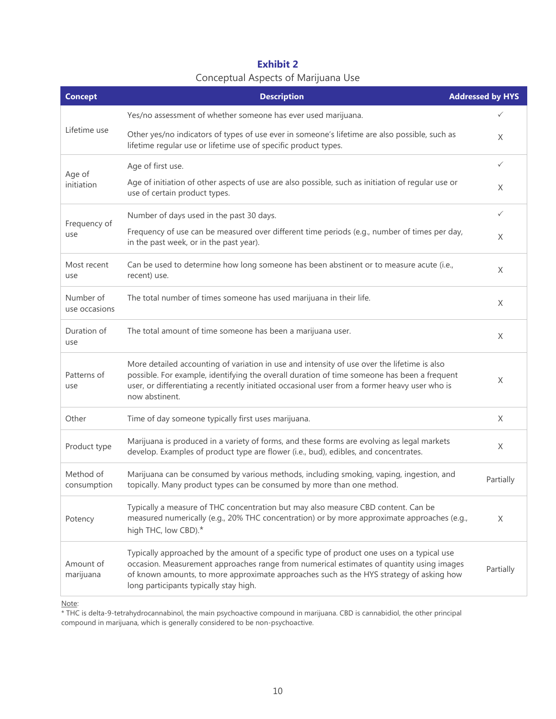# **Exhibit 2**  Conceptual Aspects of Marijuana Use

| <b>Concept</b>             | <b>Description</b>                                                                                                                                                                                                                                                                                                          | <b>Addressed by HYS</b> |
|----------------------------|-----------------------------------------------------------------------------------------------------------------------------------------------------------------------------------------------------------------------------------------------------------------------------------------------------------------------------|-------------------------|
|                            | Yes/no assessment of whether someone has ever used marijuana.                                                                                                                                                                                                                                                               |                         |
| Lifetime use               | Other yes/no indicators of types of use ever in someone's lifetime are also possible, such as<br>lifetime regular use or lifetime use of specific product types.                                                                                                                                                            | X                       |
| Age of<br>initiation       | Age of first use.                                                                                                                                                                                                                                                                                                           | $\checkmark$            |
|                            | Age of initiation of other aspects of use are also possible, such as initiation of regular use or<br>use of certain product types.                                                                                                                                                                                          | X                       |
|                            | Number of days used in the past 30 days.                                                                                                                                                                                                                                                                                    | $\checkmark$            |
| Frequency of<br>use        | Frequency of use can be measured over different time periods (e.g., number of times per day,<br>in the past week, or in the past year).                                                                                                                                                                                     | X                       |
| Most recent<br>use         | Can be used to determine how long someone has been abstinent or to measure acute (i.e.,<br>recent) use.                                                                                                                                                                                                                     | X                       |
| Number of<br>use occasions | The total number of times someone has used marijuana in their life.                                                                                                                                                                                                                                                         | X                       |
| Duration of<br>use         | The total amount of time someone has been a marijuana user.                                                                                                                                                                                                                                                                 | X                       |
| Patterns of<br>use         | More detailed accounting of variation in use and intensity of use over the lifetime is also<br>possible. For example, identifying the overall duration of time someone has been a frequent<br>user, or differentiating a recently initiated occasional user from a former heavy user who is<br>now abstinent.               | X                       |
| Other                      | Time of day someone typically first uses marijuana.                                                                                                                                                                                                                                                                         | X                       |
| Product type               | Marijuana is produced in a variety of forms, and these forms are evolving as legal markets<br>develop. Examples of product type are flower (i.e., bud), edibles, and concentrates.                                                                                                                                          | X                       |
| Method of<br>consumption   | Marijuana can be consumed by various methods, including smoking, vaping, ingestion, and<br>topically. Many product types can be consumed by more than one method.                                                                                                                                                           | Partially               |
| Potency                    | Typically a measure of THC concentration but may also measure CBD content. Can be<br>measured numerically (e.g., 20% THC concentration) or by more approximate approaches (e.g.,<br>high THC, low CBD).*                                                                                                                    | X                       |
| Amount of<br>marijuana     | Typically approached by the amount of a specific type of product one uses on a typical use<br>occasion. Measurement approaches range from numerical estimates of quantity using images<br>of known amounts, to more approximate approaches such as the HYS strategy of asking how<br>long participants typically stay high. | Partially               |

Note:

\* THC is delta-9-tetrahydrocannabinol, the main psychoactive compound in marijuana. CBD is cannabidiol, the other principal compound in marijuana, which is generally considered to be non-psychoactive.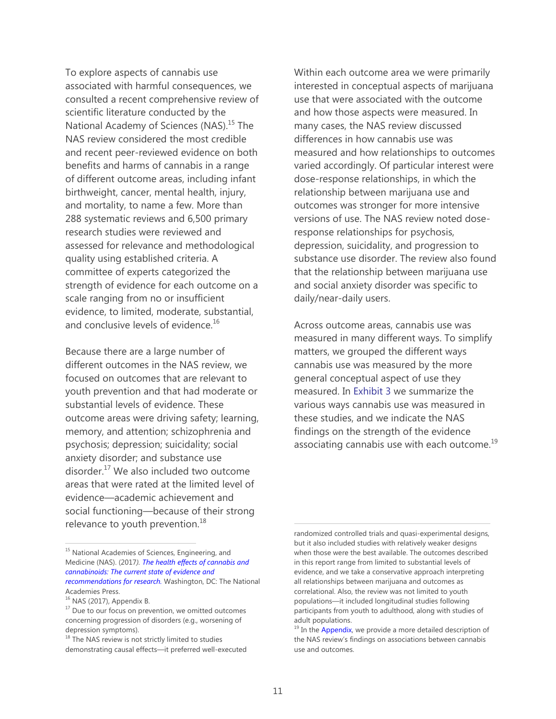To explore aspects of cannabis use associated with harmful consequences, we consulted a recent comprehensive review of scientific literature conducted by the National Academy of Sciences (NAS).<sup>15</sup> The NAS review considered the most credible and recent peer-reviewed evidence on both benefits and harms of cannabis in a range of different outcome areas, including infant birthweight, cancer, mental health, injury, and mortality, to name a few. More than 288 systematic reviews and 6,500 primary research studies were reviewed and assessed for relevance and methodological quality using established criteria. A committee of experts categorized the strength of evidence for each outcome on a scale ranging from no or insufficient evidence, to limited, moderate, substantial, and conclusive levels of evidence.<sup>16</sup>

Because there are a large number of different outcomes in the NAS review, we focused on outcomes that are relevant to youth prevention and that had moderate or substantial levels of evidence. These outcome areas were driving safety; learning, memory, and attention; schizophrenia and psychosis; depression; suicidality; social anxiety disorder; and substance use disorder.<sup>17</sup> We also included two outcome areas that were rated at the limited level of evidence—academic achievement and social functioning—because of their strong relevance to youth prevention. $18$ 

<sup>15</sup> National Academies of Sciences, Engineering, and Medicine (NAS). (2017*)[. The health effects of cannabis and](https://www.nap.edu/read/24625/chapter/1)  [cannabinoids: The current state of evidence and](https://www.nap.edu/read/24625/chapter/1)  [recommendations for research.](https://www.nap.edu/read/24625/chapter/1)* Washington, DC: The National Academies Press.

 $\overline{a}$ 

Within each outcome area we were primarily interested in conceptual aspects of marijuana use that were associated with the outcome and how those aspects were measured. In many cases, the NAS review discussed differences in how cannabis use was measured and how relationships to outcomes varied accordingly. Of particular interest were dose-response relationships, in which the relationship between marijuana use and outcomes was stronger for more intensive versions of use. The NAS review noted doseresponse relationships for psychosis, depression, suicidality, and progression to substance use disorder. The review also found that the relationship between marijuana use and social anxiety disorder was specific to daily/near-daily users.

Across outcome areas, cannabis use was measured in many different ways. To simplify matters, we grouped the different ways cannabis use was measured by the more general conceptual aspect of use they measured. In Exhibit 3 we summarize the various ways cannabis use was measured in these studies, and we indicate the NAS findings on the strength of the evidence associating cannabis use with each outcome. $^{19}$ 

 $16$  NAS (2017), Appendix B.

<sup>&</sup>lt;sup>17</sup> Due to our focus on prevention, we omitted outcomes concerning progression of disorders (e.g., worsening of depression symptoms).

 $18$  The NAS review is not strictly limited to studies demonstrating causal effects—it preferred well-executed

randomized controlled trials and quasi-experimental designs, but it also included studies with relatively weaker designs when those were the best available. The outcomes described in this report range from limited to substantial levels of evidence, and we take a conservative approach interpreting all relationships between marijuana and outcomes as correlational. Also, the review was not limited to youth populations—it included longitudinal studies following participants from youth to adulthood, along with studies of adult populations.

<sup>&</sup>lt;sup>19</sup> In the [Appendix, w](#page-27-0)e provide a more detailed description of the NAS review's findings on associations between cannabis use and outcomes.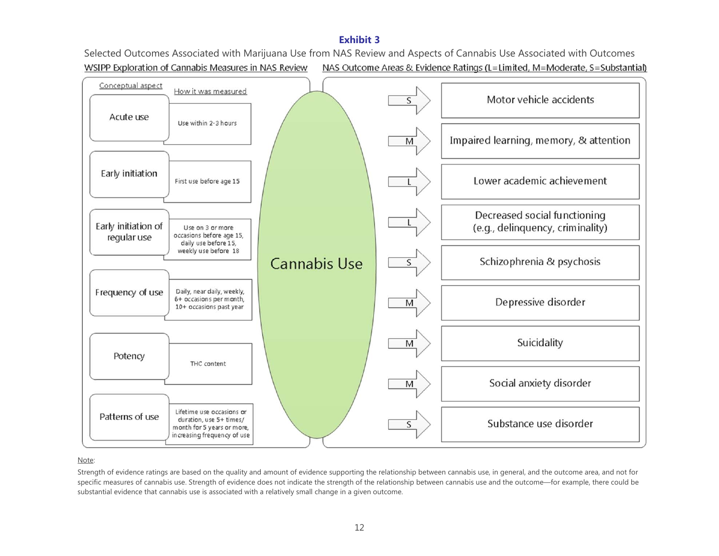### **Exhibit 3**

Selected Outcomes Associated with Marijuana Use from NAS Review and Aspects of Cannabis Use Associated with Outcomes WSIPP Exploration of Cannabis Measures in NAS Review NAS Outcome Areas & Evidence Ratings (L=Limited, M=Moderate, S=Substantial)



#### Note:

Strength of evidence ratings are based on the quality and amount of evidence supporting the relationship between cannabis use, in general, and the outcome area, and not for specific measures of cannabis use. Strength of evidence does not indicate the strength of the relationship between cannabis use and the outcome—for example, there could be substantial evidence that cannabis use is associated with a relatively small change in a given outcome.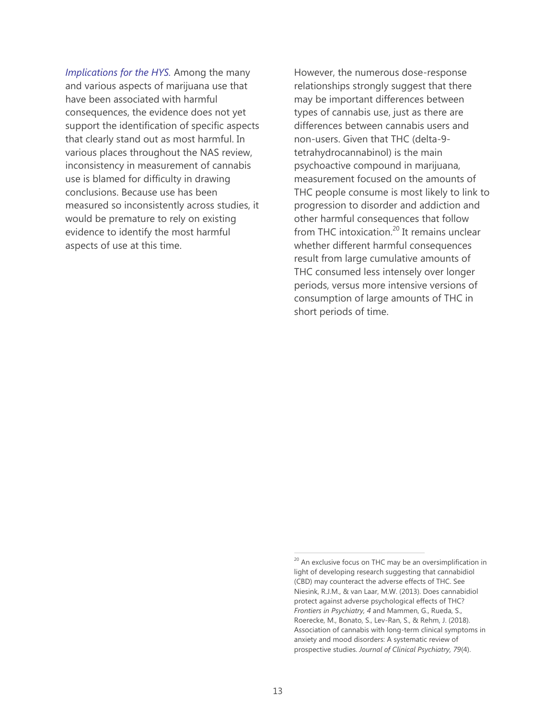*Implications for the HYS.* Among the many and various aspects of marijuana use that have been associated with harmful consequences, the evidence does not yet support the identification of specific aspects that clearly stand out as most harmful. In various places throughout the NAS review, inconsistency in measurement of cannabis use is blamed for difficulty in drawing conclusions. Because use has been measured so inconsistently across studies, it would be premature to rely on existing evidence to identify the most harmful aspects of use at this time.

However, the numerous dose-response relationships strongly suggest that there may be important differences between types of cannabis use, just as there are differences between cannabis users and non-users. Given that THC (delta-9 tetrahydrocannabinol) is the main psychoactive compound in marijuana, measurement focused on the amounts of THC people consume is most likely to link to progression to disorder and addiction and other harmful consequences that follow from THC intoxication. $^{20}$  It remains unclear whether different harmful consequences result from large cumulative amounts of THC consumed less intensely over longer periods, versus more intensive versions of consumption of large amounts of THC in short periods of time.

 $20$  An exclusive focus on THC may be an oversimplification in light of developing research suggesting that cannabidiol (CBD) may counteract the adverse effects of THC. See Niesink, R.J.M., & van Laar, M.W. (2013). Does cannabidiol protect against adverse psychological effects of THC? *Frontiers in Psychiatry, 4* and Mammen, G., Rueda, S., Roerecke, M., Bonato, S., Lev-Ran, S., & Rehm, J. (2018). Association of cannabis with long-term clinical symptoms in anxiety and mood disorders: A systematic review of prospective studies. *Journal of Clinical Psychiatry, 79*(4).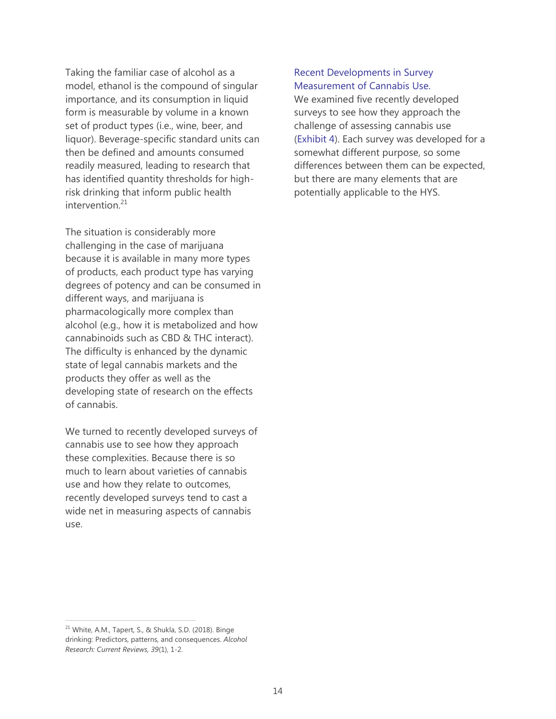Taking the familiar case of alcohol as a model, ethanol is the compound of singular importance, and its consumption in liquid form is measurable by volume in a known set of product types (i.e., wine, beer, and liquor). Beverage-specific standard units can then be defined and amounts consumed readily measured, leading to research that has identified quantity thresholds for highrisk drinking that inform public health intervention.<sup>21</sup>

The situation is considerably more challenging in the case of marijuana because it is available in many more types of products, each product type has varying degrees of potency and can be consumed in different ways, and marijuana is pharmacologically more complex than alcohol (e.g., how it is metabolized and how cannabinoids such as CBD & THC interact). The difficulty is enhanced by the dynamic state of legal cannabis markets and the products they offer as well as the developing state of research on the effects of cannabis.

We turned to recently developed surveys of cannabis use to see how they approach these complexities. Because there is so much to learn about varieties of cannabis use and how they relate to outcomes, recently developed surveys tend to cast a wide net in measuring aspects of cannabis use.

#### Recent Developments in Survey Measurement of Cannabis Use.

We examined five recently developed surveys to see how they approach the challenge of assessing cannabis use (Exhibit 4). Each survey was developed for a somewhat different purpose, so some differences between them can be expected, but there are many elements that are potentially applicable to the HYS.

<sup>&</sup>lt;sup>21</sup> White, A.M., Tapert, S., & Shukla, S.D. (2018). Binge drinking: Predictors, patterns, and consequences. *Alcohol Research: Current Reviews, 39*(1), 1-2.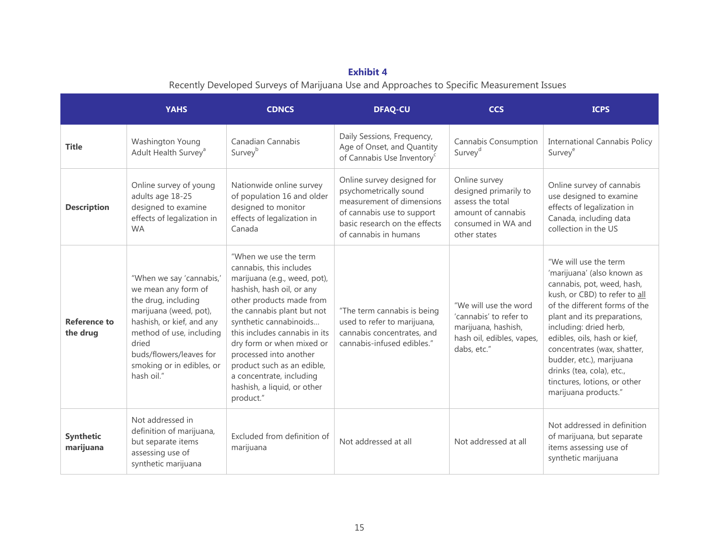# **Exhibit 4**

Recently Developed Surveys of Marijuana Use and Approaches to Specific Measurement Issues

|                                 | <b>YAHS</b>                                                                                                                                                                                                                              | <b>CDNCS</b>                                                                                                                                                                                                                                                                                                                                                                                    | <b>DFAQ-CU</b>                                                                                                                                                            | <b>CCS</b>                                                                                                             | <b>ICPS</b>                                                                                                                                                                                                                                                                                                                                                                                  |
|---------------------------------|------------------------------------------------------------------------------------------------------------------------------------------------------------------------------------------------------------------------------------------|-------------------------------------------------------------------------------------------------------------------------------------------------------------------------------------------------------------------------------------------------------------------------------------------------------------------------------------------------------------------------------------------------|---------------------------------------------------------------------------------------------------------------------------------------------------------------------------|------------------------------------------------------------------------------------------------------------------------|----------------------------------------------------------------------------------------------------------------------------------------------------------------------------------------------------------------------------------------------------------------------------------------------------------------------------------------------------------------------------------------------|
| <b>Title</b>                    | Washington Young<br>Adult Health Survey <sup>a</sup>                                                                                                                                                                                     | Canadian Cannabis<br>Survey <sup>b</sup>                                                                                                                                                                                                                                                                                                                                                        | Daily Sessions, Frequency,<br>Age of Onset, and Quantity<br>of Cannabis Use Inventory <sup>c</sup>                                                                        | Cannabis Consumption<br>Survey <sup>d</sup>                                                                            | <b>International Cannabis Policy</b><br>Survey <sup>e</sup>                                                                                                                                                                                                                                                                                                                                  |
| <b>Description</b>              | Online survey of young<br>adults age 18-25<br>designed to examine<br>effects of legalization in<br><b>WA</b>                                                                                                                             | Nationwide online survey<br>of population 16 and older<br>designed to monitor<br>effects of legalization in<br>Canada                                                                                                                                                                                                                                                                           | Online survey designed for<br>psychometrically sound<br>measurement of dimensions<br>of cannabis use to support<br>basic research on the effects<br>of cannabis in humans | Online survey<br>designed primarily to<br>assess the total<br>amount of cannabis<br>consumed in WA and<br>other states | Online survey of cannabis<br>use designed to examine<br>effects of legalization in<br>Canada, including data<br>collection in the US                                                                                                                                                                                                                                                         |
| <b>Reference to</b><br>the drug | "When we say 'cannabis,'<br>we mean any form of<br>the drug, including<br>marijuana (weed, pot),<br>hashish, or kief, and any<br>method of use, including<br>dried<br>buds/flowers/leaves for<br>smoking or in edibles, or<br>hash oil." | "When we use the term<br>cannabis, this includes<br>marijuana (e.g., weed, pot),<br>hashish, hash oil, or any<br>other products made from<br>the cannabis plant but not<br>synthetic cannabinoids<br>this includes cannabis in its<br>dry form or when mixed or<br>processed into another<br>product such as an edible,<br>a concentrate, including<br>hashish, a liquid, or other<br>product." | "The term cannabis is being<br>used to refer to marijuana,<br>cannabis concentrates, and<br>cannabis-infused edibles."                                                    | "We will use the word<br>'cannabis' to refer to<br>marijuana, hashish,<br>hash oil, edibles, vapes,<br>dabs, etc."     | "We will use the term<br>'marijuana' (also known as<br>cannabis, pot, weed, hash,<br>kush, or CBD) to refer to all<br>of the different forms of the<br>plant and its preparations,<br>including: dried herb,<br>edibles, oils, hash or kief,<br>concentrates (wax, shatter,<br>budder, etc.), marijuana<br>drinks (tea, cola), etc.,<br>tinctures, lotions, or other<br>marijuana products." |
| Synthetic<br>marijuana          | Not addressed in<br>definition of marijuana,<br>but separate items<br>assessing use of<br>synthetic marijuana                                                                                                                            | Excluded from definition of<br>marijuana                                                                                                                                                                                                                                                                                                                                                        | Not addressed at all                                                                                                                                                      | Not addressed at all                                                                                                   | Not addressed in definition<br>of marijuana, but separate<br>items assessing use of<br>synthetic marijuana                                                                                                                                                                                                                                                                                   |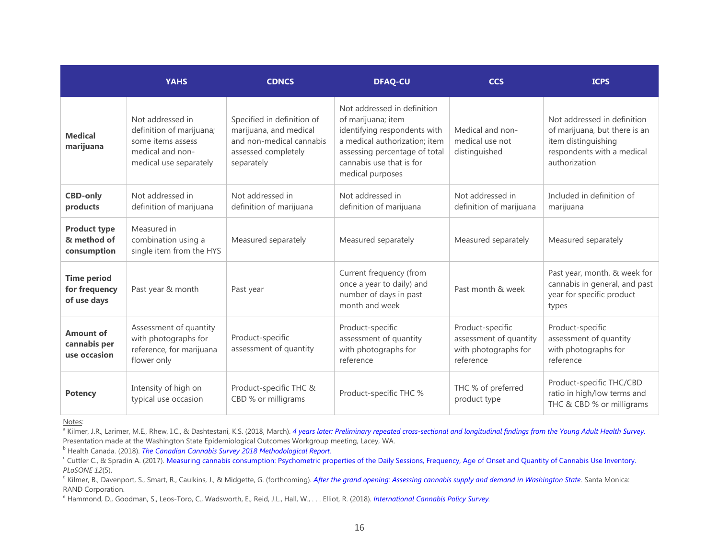|                                                    | <b>YAHS</b>                                                                                                     | <b>CDNCS</b>                                                                                                          | <b>DFAQ-CU</b>                                                                                                                                                                                      | <b>CCS</b>                                                                      | <b>ICPS</b>                                                                                                                        |
|----------------------------------------------------|-----------------------------------------------------------------------------------------------------------------|-----------------------------------------------------------------------------------------------------------------------|-----------------------------------------------------------------------------------------------------------------------------------------------------------------------------------------------------|---------------------------------------------------------------------------------|------------------------------------------------------------------------------------------------------------------------------------|
| <b>Medical</b><br>marijuana                        | Not addressed in<br>definition of marijuana;<br>some items assess<br>medical and non-<br>medical use separately | Specified in definition of<br>marijuana, and medical<br>and non-medical cannabis<br>assessed completely<br>separately | Not addressed in definition<br>of marijuana; item<br>identifying respondents with<br>a medical authorization; item<br>assessing percentage of total<br>cannabis use that is for<br>medical purposes | Medical and non-<br>medical use not<br>distinguished                            | Not addressed in definition<br>of marijuana, but there is an<br>item distinguishing<br>respondents with a medical<br>authorization |
| <b>CBD-only</b><br>products                        | Not addressed in<br>definition of marijuana                                                                     | Not addressed in<br>definition of marijuana                                                                           | Not addressed in<br>definition of marijuana                                                                                                                                                         | Not addressed in<br>definition of marijuana                                     | Included in definition of<br>marijuana                                                                                             |
| <b>Product type</b><br>& method of<br>consumption  | Measured in<br>combination using a<br>single item from the HYS                                                  | Measured separately                                                                                                   | Measured separately                                                                                                                                                                                 | Measured separately                                                             | Measured separately                                                                                                                |
| <b>Time period</b><br>for frequency<br>of use days | Past year & month                                                                                               | Past year                                                                                                             | Current frequency (from<br>once a year to daily) and<br>number of days in past<br>month and week                                                                                                    | Past month & week                                                               | Past year, month, & week for<br>cannabis in general, and past<br>year for specific product<br>types                                |
| <b>Amount of</b><br>cannabis per<br>use occasion   | Assessment of quantity<br>with photographs for<br>reference, for marijuana<br>flower only                       | Product-specific<br>assessment of quantity                                                                            | Product-specific<br>assessment of quantity<br>with photographs for<br>reference                                                                                                                     | Product-specific<br>assessment of quantity<br>with photographs for<br>reference | Product-specific<br>assessment of quantity<br>with photographs for<br>reference                                                    |
| <b>Potency</b>                                     | Intensity of high on<br>typical use occasion                                                                    | Product-specific THC &<br>CBD % or milligrams                                                                         | Product-specific THC %                                                                                                                                                                              | THC % of preferred<br>product type                                              | Product-specific THC/CBD<br>ratio in high/low terms and<br>THC & CBD % or milligrams                                               |

Notes:

a Kilmer, J.R., Larimer, M.E., Rhew, I.C., & Dashtestani, K.S. (2018, March). [4 years later: Preliminary repeated cross-sectional and longitudinal findings from the Young Adult Health Survey.](https://www.wsipp.wa.gov/Files/YAHS) Presentation made at the Washington State Epidemiological Outcomes Workgroup meeting, Lacey, WA.

<sup>b</sup> Health Canada. (2018). *[The Canadian Cannabis Survey 2018 Methodological Report](http://epe.lac-bac.gc.ca/100/200/301/pwgsc-tpsgc/por-ef/health/2018/006-18-e/report.pdf)*.

Cuttler C., & Spradin A. (2017)[. Measuring cannabis consumption: Psychometric properties of the Daily Sessions, Frequency, Age of Onset and Quantity of Cannabis Use Inventory.](https://journals.plos.org/plosone/article?id=10.1371/journal.pone.0178194#sec019) *PLoSONE 12*(5).

<sup>&</sup>lt;sup>d</sup> Kilmer, B., Davenport, S., Smart, R., Caulkins, J., & Midgette, G. (forthcoming). *[After the grand opening: Assessing cannabis supply and demand in Washington State.](https://www.wsipp.wa.gov/Files/CCS) Santa Monica:* RAND Corporation.

<sup>e</sup> Hammond, D., Goodman, S., Leos-Toro, C., Wadsworth, E., Reid, J.L., Hall, W., . . . Elliot, R. (2018). *[International Cannabis Policy Survey.](http://davidhammond.ca/wp-content/uploads/2014/12/2018-International-Cannabis-Policy-Study-Survey-W1.pdf)*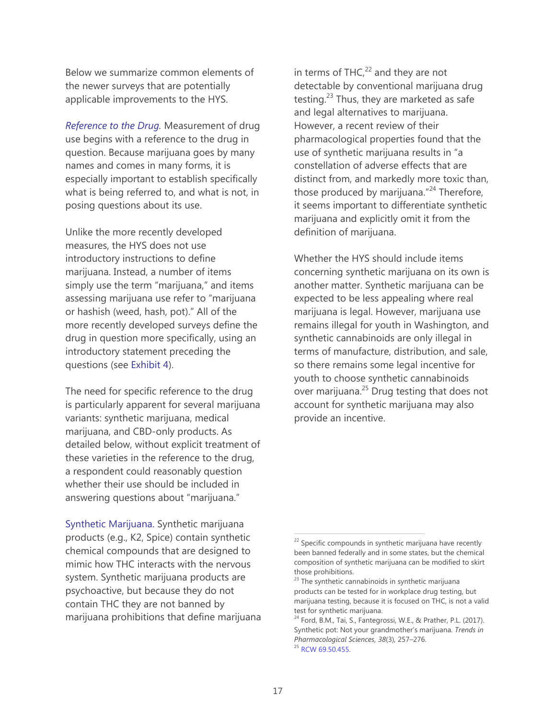Below we summarize common elements of the newer surveys that are potentially applicable improvements to the HYS.

*Reference to the Drug.* Measurement of drug use begins with a reference to the drug in question. Because marijuana goes by many names and comes in many forms, it is especially important to establish specifically what is being referred to, and what is not, in posing questions about its use.

Unlike the more recently developed measures, the HYS does not use introductory instructions to define marijuana. Instead, a number of items simply use the term "marijuana," and items assessing marijuana use refer to "marijuana or hashish (weed, hash, pot)." All of the more recently developed surveys define the drug in question more specifically, using an introductory statement preceding the questions (see Exhibit 4).

The need for specific reference to the drug is particularly apparent for several marijuana variants: synthetic marijuana, medical marijuana, and CBD-only products. As detailed below, without explicit treatment of these varieties in the reference to the drug, a respondent could reasonably question whether their use should be included in answering questions about "marijuana."

Synthetic Marijuana. Synthetic marijuana products (e.g., K2, Spice) contain synthetic chemical compounds that are designed to mimic how THC interacts with the nervous system. Synthetic marijuana products are psychoactive, but because they do not contain THC they are not banned by marijuana prohibitions that define marijuana in terms of THC $,^{22}$  and they are not detectable by conventional marijuana drug testing.<sup>23</sup> Thus, they are marketed as safe and legal alternatives to marijuana. However, a recent review of their pharmacological properties found that the use of synthetic marijuana results in "a constellation of adverse effects that are distinct from, and markedly more toxic than, those produced by marijuana."<sup>24</sup> Therefore, it seems important to differentiate synthetic marijuana and explicitly omit it from the definition of marijuana.

Whether the HYS should include items concerning synthetic marijuana on its own is another matter. Synthetic marijuana can be expected to be less appealing where real marijuana is legal. However, marijuana use remains illegal for youth in Washington, and synthetic cannabinoids are only illegal in terms of manufacture, distribution, and sale, so there remains some legal incentive for youth to choose synthetic cannabinoids over marijuana. $25$  Drug testing that does not account for synthetic marijuana may also provide an incentive.

 $22$  Specific compounds in synthetic marijuana have recently been banned federally and in some states, but the chemical composition of synthetic marijuana can be modified to skirt those prohibitions.

<sup>&</sup>lt;sup>23</sup> The synthetic cannabinoids in synthetic marijuana products can be tested for in workplace drug testing, but marijuana testing, because it is focused on THC, is not a valid test for synthetic marijuana.

<sup>&</sup>lt;sup>24</sup> Ford, B.M., Tai, S., Fantegrossi, W.E., & Prather, P.L. (2017). Synthetic pot: Not your grandmother's marijuana. *Trends in Pharmacological Sciences, 38*(3), 257–276. <sup>25</sup> [RCW 69.50.455.](https://app.leg.wa.gov/RCW/default.aspx?cite=69.50.455)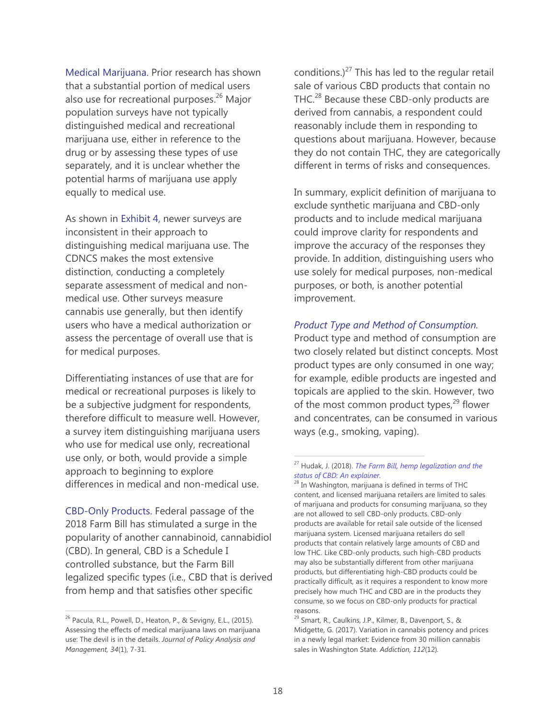Medical Marijuana. Prior research has shown that a substantial portion of medical users also use for recreational purposes.<sup>26</sup> Major population surveys have not typically distinguished medical and recreational marijuana use, either in reference to the drug or by assessing these types of use separately, and it is unclear whether the potential harms of marijuana use apply equally to medical use.

As shown in Exhibit 4, newer surveys are inconsistent in their approach to distinguishing medical marijuana use. The CDNCS makes the most extensive distinction, conducting a completely separate assessment of medical and nonmedical use. Other surveys measure cannabis use generally, but then identify users who have a medical authorization or assess the percentage of overall use that is for medical purposes.

Differentiating instances of use that are for medical or recreational purposes is likely to be a subjective judgment for respondents, therefore difficult to measure well. However, a survey item distinguishing marijuana users who use for medical use only, recreational use only, or both, would provide a simple approach to beginning to explore differences in medical and non-medical use.

CBD-Only Products. Federal passage of the 2018 Farm Bill has stimulated a surge in the popularity of another cannabinoid, cannabidiol (CBD). In general, CBD is a Schedule I controlled substance, but the Farm Bill legalized specific types (i.e., CBD that is derived from hemp and that satisfies other specific

 $\overline{a}$ 

conditions.) $^{27}$  This has led to the regular retail sale of various CBD products that contain no THC.<sup>28</sup> Because these CBD-only products are derived from cannabis, a respondent could reasonably include them in responding to questions about marijuana. However, because they do not contain THC, they are categorically different in terms of risks and consequences.

In summary, explicit definition of marijuana to exclude synthetic marijuana and CBD-only products and to include medical marijuana could improve clarity for respondents and improve the accuracy of the responses they provide. In addition, distinguishing users who use solely for medical purposes, non-medical purposes, or both, is another potential improvement.

#### *Product Type and Method of Consumption.*

Product type and method of consumption are two closely related but distinct concepts. Most product types are only consumed in one way; for example, edible products are ingested and topicals are applied to the skin. However, two of the most common product types, $^{29}$  flower and concentrates, can be consumed in various ways (e.g., smoking, vaping).

<sup>&</sup>lt;sup>26</sup> Pacula, R.L., Powell, D., Heaton, P., & Sevigny, E.L., (2015). Assessing the effects of medical marijuana laws on marijuana use: The devil is in the details. *Journal of Policy Analysis and Management, 34*(1), 7-31.

<sup>27</sup> Hudak, J. (2018). *[The Farm Bill, hemp legalization and the](https://www.brookings.edu/blog/fixgov/2018/12/14/the-farm-bill-hemp-and-cbd-explainer/)  [status of CBD: An explainer.](https://www.brookings.edu/blog/fixgov/2018/12/14/the-farm-bill-hemp-and-cbd-explainer/)*

<sup>&</sup>lt;sup>28</sup> In Washington, marijuana is defined in terms of THC content, and licensed marijuana retailers are limited to sales of marijuana and products for consuming marijuana, so they are not allowed to sell CBD-only products. CBD-only products are available for retail sale outside of the licensed marijuana system. Licensed marijuana retailers do sell products that contain relatively large amounts of CBD and low THC. Like CBD-only products, such high-CBD products may also be substantially different from other marijuana products, but differentiating high-CBD products could be practically difficult, as it requires a respondent to know more precisely how much THC and CBD are in the products they consume, so we focus on CBD-only products for practical reasons.

 $^{29}$  Smart, R., Caulkins, J.P., Kilmer, B., Davenport, S., & Midgette, G. (2017). Variation in cannabis potency and prices in a newly legal market: Evidence from 30 million cannabis sales in Washington State. *Addiction, 112*(12)*.*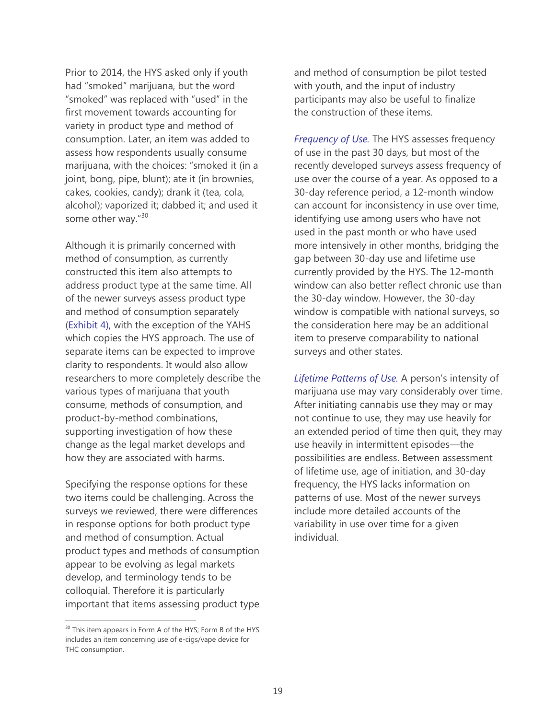Prior to 2014, the HYS asked only if youth had "smoked" marijuana, but the word "smoked" was replaced with "used" in the first movement towards accounting for variety in product type and method of consumption. Later, an item was added to assess how respondents usually consume marijuana, with the choices: "smoked it (in a joint, bong, pipe, blunt); ate it (in brownies, cakes, cookies, candy); drank it (tea, cola, alcohol); vaporized it; dabbed it; and used it some other way."<sup>30</sup>

Although it is primarily concerned with method of consumption, as currently constructed this item also attempts to address product type at the same time. All of the newer surveys assess product type and method of consumption separately (Exhibit 4), with the exception of the YAHS which copies the HYS approach. The use of separate items can be expected to improve clarity to respondents. It would also allow researchers to more completely describe the various types of marijuana that youth consume, methods of consumption, and product-by-method combinations, supporting investigation of how these change as the legal market develops and how they are associated with harms.

Specifying the response options for these two items could be challenging. Across the surveys we reviewed, there were differences in response options for both product type and method of consumption. Actual product types and methods of consumption appear to be evolving as legal markets develop, and terminology tends to be colloquial. Therefore it is particularly important that items assessing product type

 $\overline{a}$ 

and method of consumption be pilot tested with youth, and the input of industry participants may also be useful to finalize the construction of these items.

*Frequency of Use.* The HYS assesses frequency of use in the past 30 days, but most of the recently developed surveys assess frequency of use over the course of a year. As opposed to a 30-day reference period, a 12-month window can account for inconsistency in use over time, identifying use among users who have not used in the past month or who have used more intensively in other months, bridging the gap between 30-day use and lifetime use currently provided by the HYS. The 12-month window can also better reflect chronic use than the 30-day window. However, the 30-day window is compatible with national surveys, so the consideration here may be an additional item to preserve comparability to national surveys and other states.

*Lifetime Patterns of Use.* A person's intensity of marijuana use may vary considerably over time. After initiating cannabis use they may or may not continue to use, they may use heavily for an extended period of time then quit, they may use heavily in intermittent episodes—the possibilities are endless. Between assessment of lifetime use, age of initiation, and 30-day frequency, the HYS lacks information on patterns of use. Most of the newer surveys include more detailed accounts of the variability in use over time for a given individual.

<sup>&</sup>lt;sup>30</sup> This item appears in Form A of the HYS; Form B of the HYS includes an item concerning use of e-cigs/vape device for THC consumption.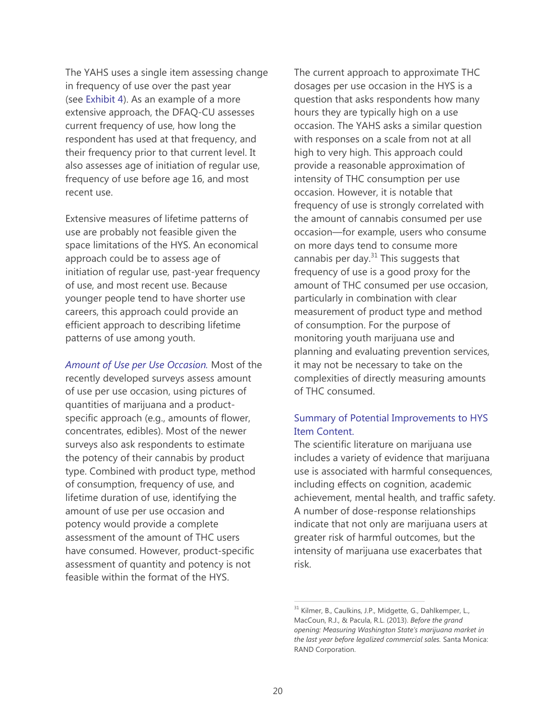The YAHS uses a single item assessing change in frequency of use over the past year (see Exhibit 4). As an example of a more extensive approach, the DFAQ-CU assesses current frequency of use, how long the respondent has used at that frequency, and their frequency prior to that current level. It also assesses age of initiation of regular use, frequency of use before age 16, and most recent use.

Extensive measures of lifetime patterns of use are probably not feasible given the space limitations of the HYS. An economical approach could be to assess age of initiation of regular use, past-year frequency of use, and most recent use. Because younger people tend to have shorter use careers, this approach could provide an efficient approach to describing lifetime patterns of use among youth.

*Amount of Use per Use Occasion.* Most of the recently developed surveys assess amount of use per use occasion, using pictures of quantities of marijuana and a productspecific approach (e.g., amounts of flower, concentrates, edibles). Most of the newer surveys also ask respondents to estimate the potency of their cannabis by product type. Combined with product type, method of consumption, frequency of use, and lifetime duration of use, identifying the amount of use per use occasion and potency would provide a complete assessment of the amount of THC users have consumed. However, product-specific assessment of quantity and potency is not feasible within the format of the HYS.

The current approach to approximate THC dosages per use occasion in the HYS is a question that asks respondents how many hours they are typically high on a use occasion. The YAHS asks a similar question with responses on a scale from not at all high to very high. This approach could provide a reasonable approximation of intensity of THC consumption per use occasion. However, it is notable that frequency of use is strongly correlated with the amount of cannabis consumed per use occasion—for example, users who consume on more days tend to consume more cannabis per day. $31$  This suggests that frequency of use is a good proxy for the amount of THC consumed per use occasion, particularly in combination with clear measurement of product type and method of consumption. For the purpose of monitoring youth marijuana use and planning and evaluating prevention services, it may not be necessary to take on the complexities of directly measuring amounts of THC consumed.

# Summary of Potential Improvements to HYS Item Content.

The scientific literature on marijuana use includes a variety of evidence that marijuana use is associated with harmful consequences, including effects on cognition, academic achievement, mental health, and traffic safety. A number of dose-response relationships indicate that not only are marijuana users at greater risk of harmful outcomes, but the intensity of marijuana use exacerbates that risk.

<sup>&</sup>lt;sup>31</sup> Kilmer, B., Caulkins, J.P., Midgette, G., Dahlkemper, L., MacCoun, R.J., & Pacula, R.L. (2013). *Before the grand opening: Measuring Washington State's marijuana market in the last year before legalized commercial sales.* Santa Monica: RAND Corporation.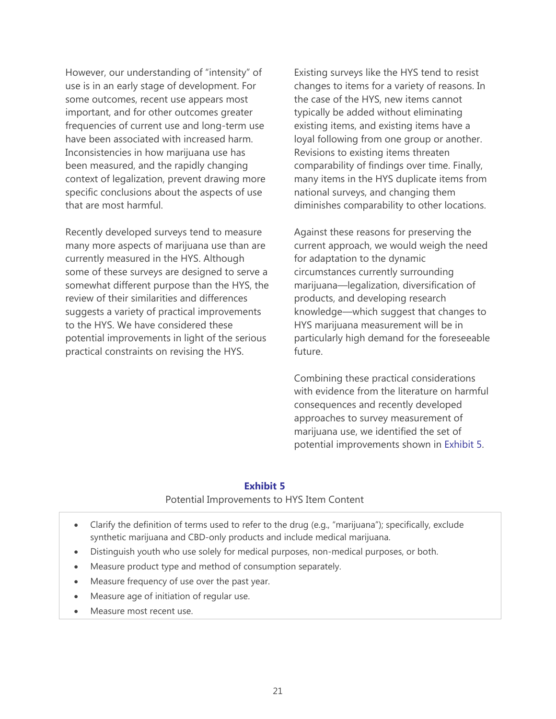However, our understanding of "intensity" of use is in an early stage of development. For some outcomes, recent use appears most important, and for other outcomes greater frequencies of current use and long-term use have been associated with increased harm. Inconsistencies in how marijuana use has been measured, and the rapidly changing context of legalization, prevent drawing more specific conclusions about the aspects of use that are most harmful.

Recently developed surveys tend to measure many more aspects of marijuana use than are currently measured in the HYS. Although some of these surveys are designed to serve a somewhat different purpose than the HYS, the review of their similarities and differences suggests a variety of practical improvements to the HYS. We have considered these potential improvements in light of the serious practical constraints on revising the HYS.

Existing surveys like the HYS tend to resist changes to items for a variety of reasons. In the case of the HYS, new items cannot typically be added without eliminating existing items, and existing items have a loyal following from one group or another. Revisions to existing items threaten comparability of findings over time. Finally, many items in the HYS duplicate items from national surveys, and changing them diminishes comparability to other locations.

Against these reasons for preserving the current approach, we would weigh the need for adaptation to the dynamic circumstances currently surrounding marijuana—legalization, diversification of products, and developing research knowledge—which suggest that changes to HYS marijuana measurement will be in particularly high demand for the foreseeable future.

Combining these practical considerations with evidence from the literature on harmful consequences and recently developed approaches to survey measurement of marijuana use, we identified the set of potential improvements shown in Exhibit 5.

#### **Exhibit 5**

#### Potential Improvements to HYS Item Content

- Clarify the definition of terms used to refer to the drug (e.g., "marijuana"); specifically, exclude synthetic marijuana and CBD-only products and include medical marijuana.
- Distinguish youth who use solely for medical purposes, non-medical purposes, or both.
- Measure product type and method of consumption separately.
- Measure frequency of use over the past year.
- Measure age of initiation of regular use.
- Measure most recent use.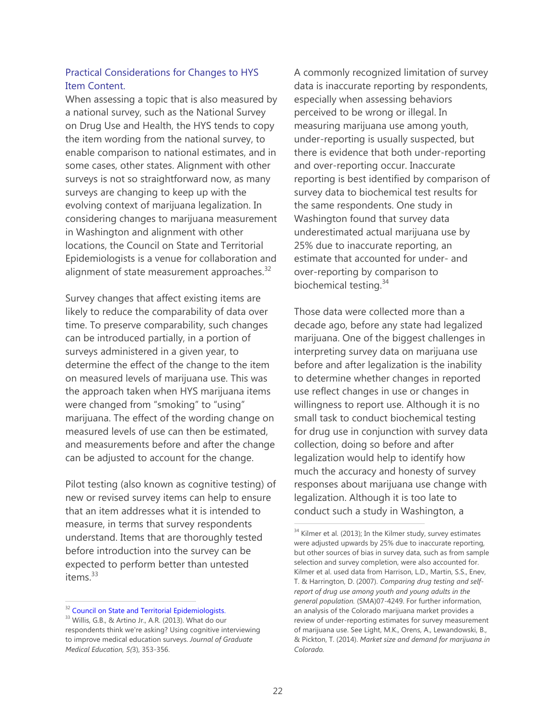## Practical Considerations for Changes to HYS Item Content.

When assessing a topic that is also measured by a national survey, such as the National Survey on Drug Use and Health, the HYS tends to copy the item wording from the national survey, to enable comparison to national estimates, and in some cases, other states. Alignment with other surveys is not so straightforward now, as many surveys are changing to keep up with the evolving context of marijuana legalization. In considering changes to marijuana measurement in Washington and alignment with other locations, the Council on State and Territorial Epidemiologists is a venue for collaboration and alignment of state measurement approaches. $32$ 

Survey changes that affect existing items are likely to reduce the comparability of data over time. To preserve comparability, such changes can be introduced partially, in a portion of surveys administered in a given year, to determine the effect of the change to the item on measured levels of marijuana use. This was the approach taken when HYS marijuana items were changed from "smoking" to "using" marijuana. The effect of the wording change on measured levels of use can then be estimated, and measurements before and after the change can be adjusted to account for the change.

Pilot testing (also known as cognitive testing) of new or revised survey items can help to ensure that an item addresses what it is intended to measure, in terms that survey respondents understand. Items that are thoroughly tested before introduction into the survey can be expected to perform better than untested items.<sup>33</sup>

 $\overline{a}$ 

A commonly recognized limitation of survey data is inaccurate reporting by respondents, especially when assessing behaviors perceived to be wrong or illegal. In measuring marijuana use among youth, under-reporting is usually suspected, but there is evidence that both under-reporting and over-reporting occur. Inaccurate reporting is best identified by comparison of survey data to biochemical test results for the same respondents. One study in Washington found that survey data underestimated actual marijuana use by 25% due to inaccurate reporting, an estimate that accounted for under- and over-reporting by comparison to biochemical testing.<sup>34</sup>

Those data were collected more than a decade ago, before any state had legalized marijuana. One of the biggest challenges in interpreting survey data on marijuana use before and after legalization is the inability to determine whether changes in reported use reflect changes in use or changes in willingness to report use. Although it is no small task to conduct biochemical testing for drug use in conjunction with survey data collection, doing so before and after legalization would help to identify how much the accuracy and honesty of survey responses about marijuana use change with legalization. Although it is too late to conduct such a study in Washington, a

<sup>&</sup>lt;sup>32</sup> Council on State and Territorial Epidemiologists.

<sup>&</sup>lt;sup>33</sup> Willis, G.B., & Artino Jr., A.R. (2013). What do our respondents think we're asking? Using cognitive interviewing to improve medical education surveys. *Journal of Graduate Medical Education, 5(*3), 353-356.

<sup>&</sup>lt;sup>34</sup> Kilmer et al. (2013); In the Kilmer study, survey estimates were adjusted upwards by 25% due to inaccurate reporting, but other sources of bias in survey data, such as from sample selection and survey completion, were also accounted for. Kilmer et al. used data from Harrison, L.D., Martin, S.S., Enev, T. & Harrington, D. (2007). *Comparing drug testing and selfreport of drug use among youth and young adults in the general population.* (SMA)07-4249. For further information, an analysis of the Colorado marijuana market provides a review of under-reporting estimates for survey measurement of marijuana use. See Light, M.K., Orens, A., Lewandowski, B., & Pickton, T. (2014). *Market size and demand for marijuana in Colorado.*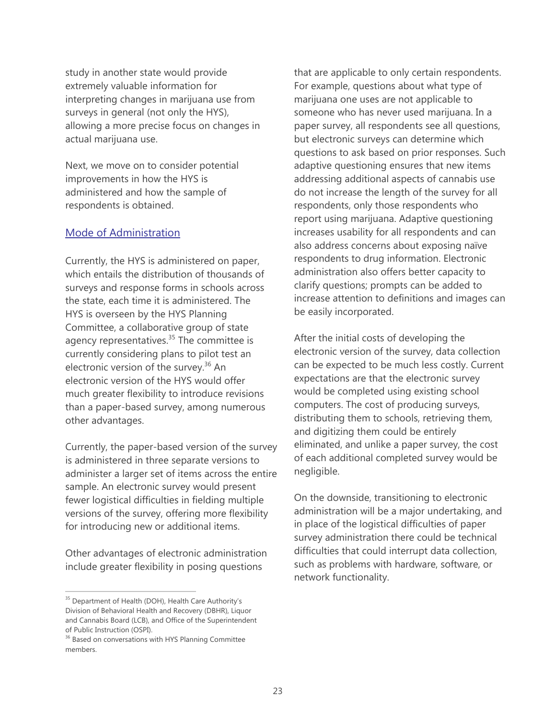study in another state would provide extremely valuable information for interpreting changes in marijuana use from surveys in general (not only the HYS), allowing a more precise focus on changes in actual marijuana use.

Next, we move on to consider potential improvements in how the HYS is administered and how the sample of respondents is obtained.

### Mode of Administration

Currently, the HYS is administered on paper, which entails the distribution of thousands of surveys and response forms in schools across the state, each time it is administered. The HYS is overseen by the HYS Planning Committee, a collaborative group of state agency representatives.<sup>35</sup> The committee is currently considering plans to pilot test an electronic version of the survey.<sup>36</sup> An electronic version of the HYS would offer much greater flexibility to introduce revisions than a paper-based survey, among numerous other advantages.

Currently, the paper-based version of the survey is administered in three separate versions to administer a larger set of items across the entire sample. An electronic survey would present fewer logistical difficulties in fielding multiple versions of the survey, offering more flexibility for introducing new or additional items.

Other advantages of electronic administration include greater flexibility in posing questions

 $\overline{a}$ 

that are applicable to only certain respondents. For example, questions about what type of marijuana one uses are not applicable to someone who has never used marijuana. In a paper survey, all respondents see all questions, but electronic surveys can determine which questions to ask based on prior responses. Such adaptive questioning ensures that new items addressing additional aspects of cannabis use do not increase the length of the survey for all respondents, only those respondents who report using marijuana. Adaptive questioning increases usability for all respondents and can also address concerns about exposing naïve respondents to drug information. Electronic administration also offers better capacity to clarify questions; prompts can be added to increase attention to definitions and images can be easily incorporated.

After the initial costs of developing the electronic version of the survey, data collection can be expected to be much less costly. Current expectations are that the electronic survey would be completed using existing school computers. The cost of producing surveys, distributing them to schools, retrieving them, and digitizing them could be entirely eliminated, and unlike a paper survey, the cost of each additional completed survey would be negligible.

On the downside, transitioning to electronic administration will be a major undertaking, and in place of the logistical difficulties of paper survey administration there could be technical difficulties that could interrupt data collection, such as problems with hardware, software, or network functionality.

<sup>&</sup>lt;sup>35</sup> Department of Health (DOH), Health Care Authority's Division of Behavioral Health and Recovery (DBHR), Liquor and Cannabis Board (LCB), and Office of the Superintendent of Public Instruction (OSPI).

<sup>&</sup>lt;sup>36</sup> Based on conversations with HYS Planning Committee members.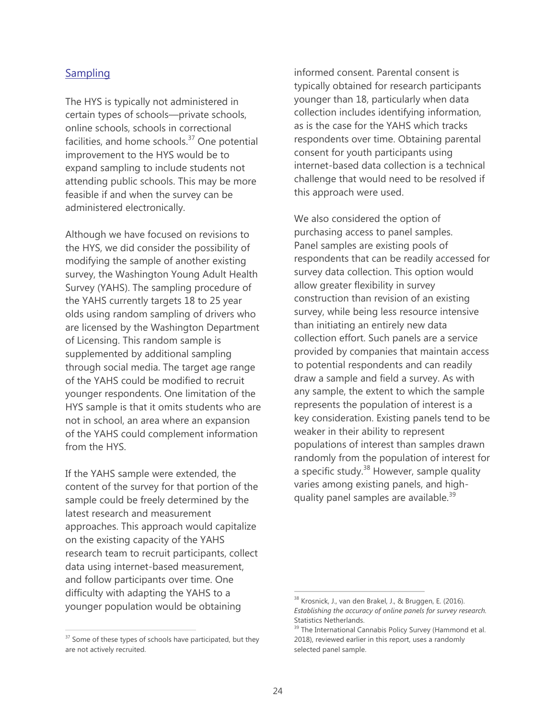### **Sampling**

The HYS is typically not administered in certain types of schools—private schools, online schools, schools in correctional facilities, and home schools. $37$  One potential improvement to the HYS would be to expand sampling to include students not attending public schools. This may be more feasible if and when the survey can be administered electronically.

Although we have focused on revisions to the HYS, we did consider the possibility of modifying the sample of another existing survey, the Washington Young Adult Health Survey (YAHS). The sampling procedure of the YAHS currently targets 18 to 25 year olds using random sampling of drivers who are licensed by the Washington Department of Licensing. This random sample is supplemented by additional sampling through social media. The target age range of the YAHS could be modified to recruit younger respondents. One limitation of the HYS sample is that it omits students who are not in school, an area where an expansion of the YAHS could complement information from the HYS.

If the YAHS sample were extended, the content of the survey for that portion of the sample could be freely determined by the latest research and measurement approaches. This approach would capitalize on the existing capacity of the YAHS research team to recruit participants, collect data using internet-based measurement, and follow participants over time. One difficulty with adapting the YAHS to a younger population would be obtaining

 $\overline{a}$ 

informed consent. Parental consent is typically obtained for research participants younger than 18, particularly when data collection includes identifying information, as is the case for the YAHS which tracks respondents over time. Obtaining parental consent for youth participants using internet-based data collection is a technical challenge that would need to be resolved if this approach were used.

We also considered the option of purchasing access to panel samples. Panel samples are existing pools of respondents that can be readily accessed for survey data collection. This option would allow greater flexibility in survey construction than revision of an existing survey, while being less resource intensive than initiating an entirely new data collection effort. Such panels are a service provided by companies that maintain access to potential respondents and can readily draw a sample and field a survey. As with any sample, the extent to which the sample represents the population of interest is a key consideration. Existing panels tend to be weaker in their ability to represent populations of interest than samples drawn randomly from the population of interest for a specific study.<sup>38</sup> However, sample quality varies among existing panels, and highquality panel samples are available.<sup>39</sup>

<sup>&</sup>lt;sup>37</sup> Some of these types of schools have participated, but they are not actively recruited.

<sup>38</sup> Krosnick, J., van den Brakel, J., & Bruggen, E. (2016). *Establishing the accuracy of online panels for survey research.* Statistics Netherlands.

<sup>&</sup>lt;sup>39</sup> The International Cannabis Policy Survey (Hammond et al. 2018), reviewed earlier in this report, uses a randomly selected panel sample.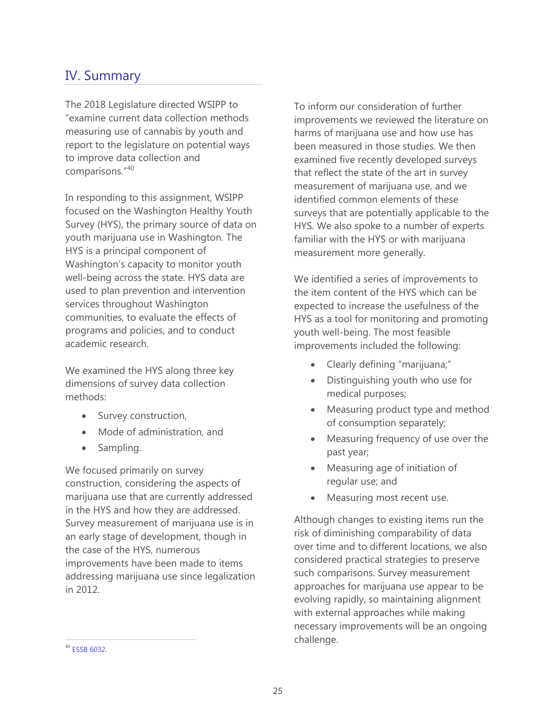# IV. Summary

The 2018 Legislature directed WSIPP to "examine current data collection methods measuring use of cannabis by youth and report to the legislature on potential ways to improve data collection and comparisons."<sup>40</sup>

In responding to this assignment, WSIPP focused on the Washington Healthy Youth Survey (HYS), the primary source of data on youth marijuana use in Washington. The HYS is a principal component of Washington's capacity to monitor youth well-being across the state. HYS data are used to plan prevention and intervention services throughout Washington communities, to evaluate the effects of programs and policies, and to conduct academic research.

We examined the HYS along three key dimensions of survey data collection methods:

- Survey construction,
- Mode of administration, and
- Sampling.

We focused primarily on survey construction, considering the aspects of marijuana use that are currently addressed in the HYS and how they are addressed. Survey measurement of marijuana use is in an early stage of development, though in the case of the HYS, numerous improvements have been made to items addressing marijuana use since legalization in 2012.

To inform our consideration of further improvements we reviewed the literature on harms of marijuana use and how use has been measured in those studies. We then examined five recently developed surveys that reflect the state of the art in survey measurement of marijuana use, and we identified common elements of these surveys that are potentially applicable to the HYS. We also spoke to a number of experts familiar with the HYS or with marijuana measurement more generally.

We identified a series of improvements to the item content of the HYS which can be expected to increase the usefulness of the HYS as a tool for monitoring and promoting youth well-being. The most feasible improvements included the following:

- Clearly defining "marijuana;"
- Distinguishing youth who use for medical purposes;
- Measuring product type and method of consumption separately;
- Measuring frequency of use over the past year;
- Measuring age of initiation of regular use; and
- Measuring most recent use.

Although changes to existing items run the risk of diminishing comparability of data over time and to different locations, we also considered practical strategies to preserve such comparisons. Survey measurement approaches for marijuana use appear to be evolving rapidly, so maintaining alignment with external approaches while making necessary improvements will be an ongoing challenge.

<sup>40</sup> [ESSB 6032.](http://lawfilesext.leg.wa.gov/biennium/2017-18/Pdf/Bills/Session%20Laws/Senate/6032-S.SL.pdf)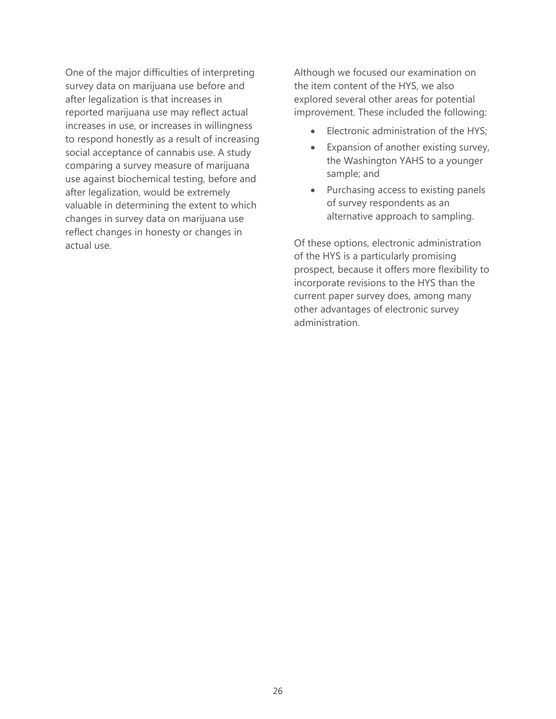One of the major difficulties of interpreting survey data on marijuana use before and after legalization is that increases in reported marijuana use may reflect actual increases in use, or increases in willingness to respond honestly as a result of increasing social acceptance of cannabis use. A study comparing a survey measure of marijuana use against biochemical testing, before and after legalization, would be extremely valuable in determining the extent to which changes in survey data on marijuana use reflect changes in honesty or changes in actual use.

Although we focused our examination on the item content of the HYS, we also explored several other areas for potential improvement. These included the following:

- Electronic administration of the HYS;
- Expansion of another existing survey, the Washington YAHS to a younger sample; and
- Purchasing access to existing panels of survey respondents as an alternative approach to sampling.

Of these options, electronic administration of the HYS is a particularly promising prospect, because it offers more flexibility to incorporate revisions to the HYS than the current paper survey does, among many other advantages of electronic survey administration.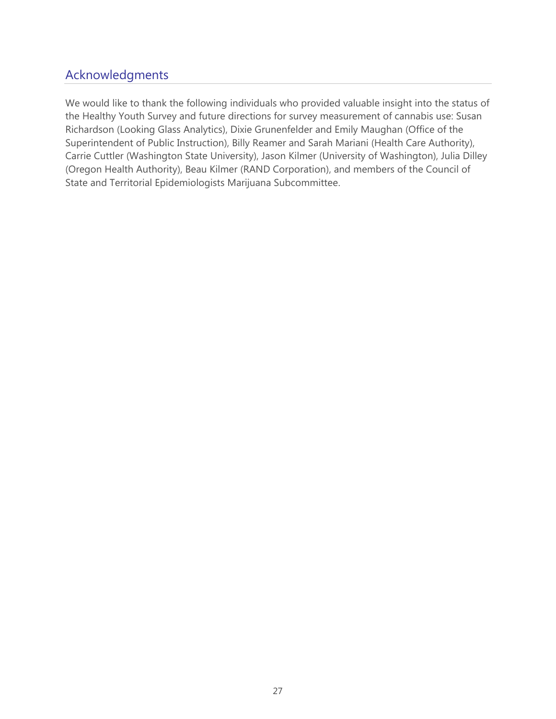# Acknowledgments

We would like to thank the following individuals who provided valuable insight into the status of the Healthy Youth Survey and future directions for survey measurement of cannabis use: Susan Richardson (Looking Glass Analytics), Dixie Grunenfelder and Emily Maughan (Office of the Superintendent of Public Instruction), Billy Reamer and Sarah Mariani (Health Care Authority), Carrie Cuttler (Washington State University), Jason Kilmer (University of Washington), Julia Dilley (Oregon Health Authority), Beau Kilmer (RAND Corporation), and members of the Council of State and Territorial Epidemiologists Marijuana Subcommittee.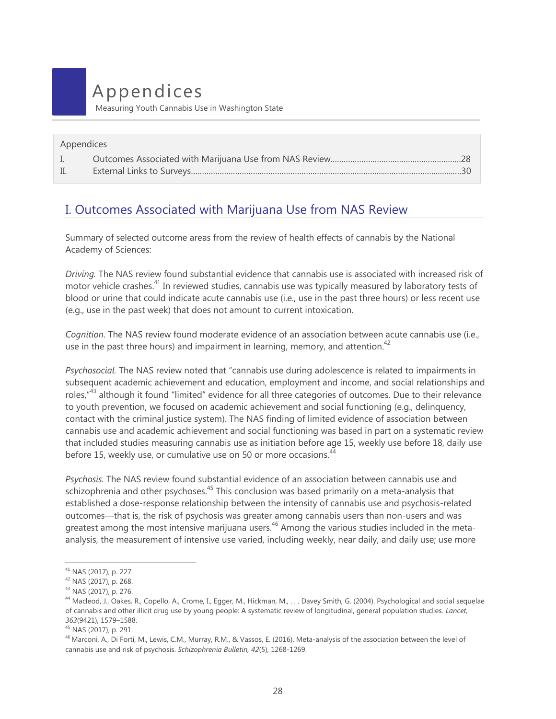# <span id="page-27-0"></span>Appendices

Measuring Youth Cannabis Use in Washington State

| Appendices     |  |  |  |  |
|----------------|--|--|--|--|
| $\mathbf{L}$   |  |  |  |  |
| $\mathbb{I}$ . |  |  |  |  |

# I. Outcomes Associated with Marijuana Use from NAS Review

Summary of selected outcome areas from the review of health effects of cannabis by the National Academy of Sciences:

*Driving.* The NAS review found substantial evidence that cannabis use is associated with increased risk of motor vehicle crashes.<sup>41</sup> In reviewed studies, cannabis use was typically measured by laboratory tests of blood or urine that could indicate acute cannabis use (i.e., use in the past three hours) or less recent use (e.g., use in the past week) that does not amount to current intoxication.

*Cognition*. The NAS review found moderate evidence of an association between acute cannabis use (i.e., use in the past three hours) and impairment in learning, memory, and attention.<sup>42</sup>

*Psychosocial.* The NAS review noted that "cannabis use during adolescence is related to impairments in subsequent academic achievement and education, employment and income, and social relationships and roles,<sup>"43</sup> although it found "limited" evidence for all three categories of outcomes. Due to their relevance to youth prevention, we focused on academic achievement and social functioning (e.g., delinquency, contact with the criminal justice system). The NAS finding of limited evidence of association between cannabis use and academic achievement and social functioning was based in part on a systematic review that included studies measuring cannabis use as initiation before age 15, weekly use before 18, daily use before 15, weekly use, or cumulative use on 50 or more occasions.<sup>44</sup>

*Psychosis.* The NAS review found substantial evidence of an association between cannabis use and schizophrenia and other psychoses.<sup>45</sup> This conclusion was based primarily on a meta-analysis that established a dose-response relationship between the intensity of cannabis use and psychosis-related outcomes—that is, the risk of psychosis was greater among cannabis users than non-users and was greatest among the most intensive marijuana users.<sup>46</sup> Among the various studies included in the metaanalysis, the measurement of intensive use varied, including weekly, near daily, and daily use; use more

<sup>41</sup> NAS (2017), p. 227.

<sup>42</sup> NAS (2017), p. 268.

<sup>43</sup> NAS (2017), p. 276.

<sup>44</sup> Macleod, J., Oakes, R., Copello, A., Crome, I., Egger, M., Hickman, M., . . . Davey Smith, G. (2004). Psychological and social sequelae of cannabis and other illicit drug use by young people: A systematic review of longitudinal, general population studies. *Lancet, 363*(9421), 1579–1588.

<sup>45</sup> NAS (2017), p. 291.

<sup>&</sup>lt;sup>46</sup> Marconi, A., Di Forti, M., Lewis, C.M., Murray, R.M., & Vassos, E. (2016). Meta-analysis of the association between the level of cannabis use and risk of psychosis. *Schizophrenia Bulletin, 42*(5), 1268-1269.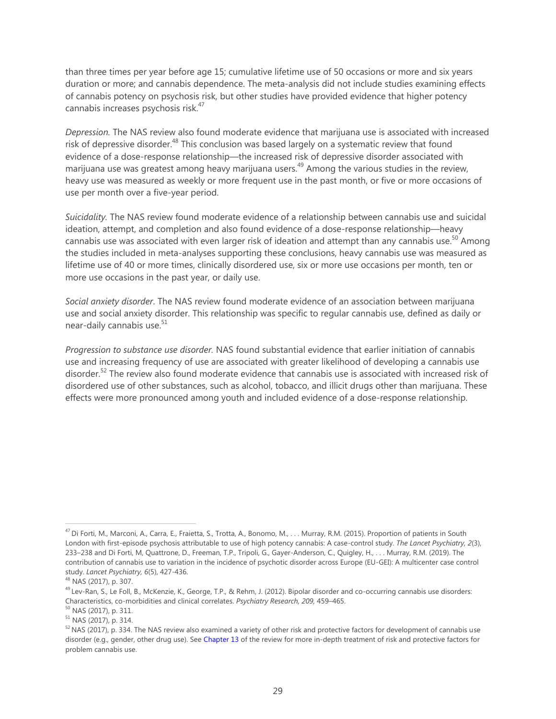than three times per year before age 15; cumulative lifetime use of 50 occasions or more and six years duration or more; and cannabis dependence. The meta-analysis did not include studies examining effects of cannabis potency on psychosis risk, but other studies have provided evidence that higher potency cannabis increases psychosis risk.<sup>47</sup>

*Depression.* The NAS review also found moderate evidence that marijuana use is associated with increased risk of depressive disorder.<sup>48</sup> This conclusion was based largely on a systematic review that found evidence of a dose-response relationship—the increased risk of depressive disorder associated with marijuana use was greatest among heavy marijuana users.<sup>49</sup> Among the various studies in the review, heavy use was measured as weekly or more frequent use in the past month, or five or more occasions of use per month over a five-year period.

*Suicidality.* The NAS review found moderate evidence of a relationship between cannabis use and suicidal ideation, attempt, and completion and also found evidence of a dose-response relationship—heavy cannabis use was associated with even larger risk of ideation and attempt than any cannabis use.<sup>50</sup> Among the studies included in meta-analyses supporting these conclusions, heavy cannabis use was measured as lifetime use of 40 or more times, clinically disordered use, six or more use occasions per month, ten or more use occasions in the past year, or daily use.

*Social anxiety disorder*. The NAS review found moderate evidence of an association between marijuana use and social anxiety disorder. This relationship was specific to regular cannabis use, defined as daily or near-daily cannabis use.<sup>51</sup>

*Progression to substance use disorder.* NAS found substantial evidence that earlier initiation of cannabis use and increasing frequency of use are associated with greater likelihood of developing a cannabis use disorder.<sup>52</sup> The review also found moderate evidence that cannabis use is associated with increased risk of disordered use of other substances, such as alcohol, tobacco, and illicit drugs other than marijuana. These effects were more pronounced among youth and included evidence of a dose-response relationship.

<sup>47</sup> Di Forti, M., Marconi, A., Carra, E., Fraietta, S., Trotta, A., Bonomo, M., . . . Murray, R.M. (2015). Proportion of patients in South London with first-episode psychosis attributable to use of high potency cannabis: A case-control study. *The Lancet Psychiatry, 2*(3), 233–238 and Di Forti, M, Quattrone, D., Freeman, T.P., Tripoli, G., Gayer-Anderson, C., Quigley, H., . . . Murray, R.M. (2019). The contribution of cannabis use to variation in the incidence of psychotic disorder across Europe (EU-GEI): A multicenter case control study. *Lancet Psychiatry, 6*(5), 427-436.

<sup>48</sup> NAS (2017), p. 307.

<sup>&</sup>lt;sup>49</sup> Lev-Ran, S., Le Foll, B., McKenzie, K., George, T.P., & Rehm, J. (2012). Bipolar disorder and co-occurring cannabis use disorders: Characteristics, co-morbidities and clinical correlates. *Psychiatry Research, 209,* 459–465.

<sup>50</sup> NAS (2017), p. 311.

<sup>51</sup> NAS (2017), p. 314.

 $52$  NAS (2017), p. 334. The NAS review also examined a variety of other risk and protective factors for development of cannabis use disorder (e.g., gender, other drug use). Se[e Chapter 13](https://www.nap.edu/read/24625/chapter/15) of the review for more in-depth treatment of risk and protective factors for problem cannabis use.